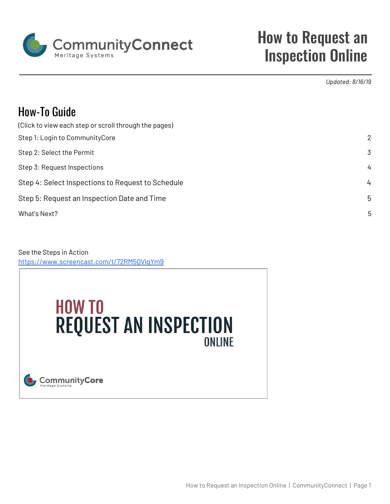

# How to Request an Inspection Online

*Updated: 8/16/19*

# How-To Guide

| (Click to view each step or scroll through the pages) |                |
|-------------------------------------------------------|----------------|
| Step 1: Login to CommunityCore                        | 2              |
| Step 2: Select the Permit                             | $\overline{3}$ |
| Step 3: Request Inspections                           | $\frac{1}{4}$  |
| Step 4: Select Inspections to Request to Schedule     | $\frac{1}{4}$  |
| Step 5: Request an Inspection Date and Time           | 5              |
| What's Next?                                          | 5              |
|                                                       |                |

See the Steps in Action <https://www.screencast.com/t/72RM5QVlqYm9>

# **HOW TO REQUEST AN INSPECTION ONI INF**

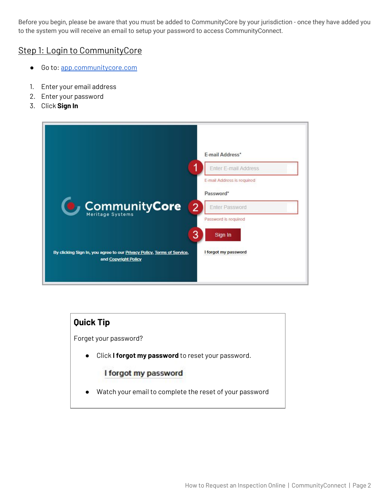Before you begin, please be aware that you must be added to CommunityCore by your jurisdiction - once they have added you to the system you will receive an email to setup your password to access CommunityConnect.

#### <span id="page-1-0"></span>Step 1: Login to CommunityCore

- Go to: [app.communitycore.com](https://app.communitycore.com/)
- 1. Enter your email address
- 2. Enter your password
- 3. Click **Sign In**

|                                                                                                 | <b>E-mail Address*</b>           |
|-------------------------------------------------------------------------------------------------|----------------------------------|
|                                                                                                 | Enter E-mail Address             |
|                                                                                                 | E-mail Address is required       |
|                                                                                                 | Password*                        |
| Community Core                                                                                  | $\overline{2}$<br>Enter Password |
|                                                                                                 | Password is required             |
|                                                                                                 | 3<br>Sign In                     |
| By clicking Sign In, you agree to our Privacy Policy, Terms of Service,<br>and Copyright Policy | I forgot my password             |
|                                                                                                 |                                  |

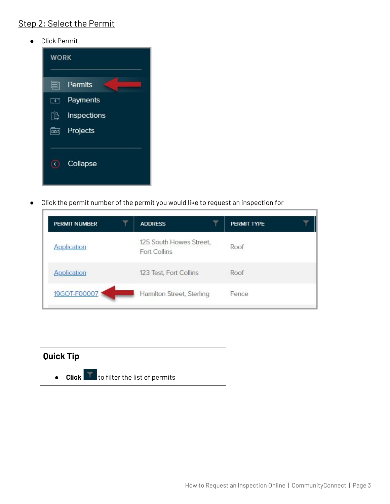# <span id="page-2-0"></span>Step 2: Select the Permit

● Click Permit



● Click the permit number of the permit you would like to request an inspection for

| <b>PERMIT NUMBER</b> | <b>ADDRESS</b>                                 | PERMIT TYPE |
|----------------------|------------------------------------------------|-------------|
| Application          | 125 South Howes Street,<br><b>Fort Collins</b> | Roof        |
| <b>Application</b>   | 123 Test, Fort Collins                         | Roof        |
| 19GOT-F00007         | Hamilton Street, Sterling                      | Fence       |

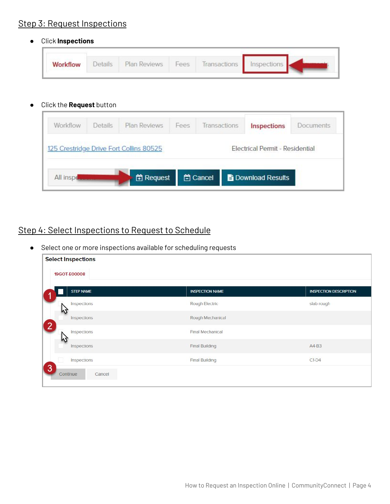### <span id="page-3-0"></span>Step 3: Request Inspections

● Click **Inspections**

| <b>Plinte</b> | Plan Reviews | Fees | Transactions Inspections |  |
|---------------|--------------|------|--------------------------|--|
|               |              |      |                          |  |

● Click the **Request** button

| Workflow                                                               | Details                                                                    | Plan Reviews | Fees | <b>Transactions</b> | Inspections | <b>Documents</b> |  |
|------------------------------------------------------------------------|----------------------------------------------------------------------------|--------------|------|---------------------|-------------|------------------|--|
|                                                                        | Electrical Permit - Residential<br>125 Crestridge Drive Fort Collins 80525 |              |      |                     |             |                  |  |
| <b>管 Cancel</b><br>H Request<br><b>E</b> Download Results<br>All inspe |                                                                            |              |      |                     |             |                  |  |

# <span id="page-3-1"></span>Step 4: Select Inspections to Request to Schedule

● Select one or more inspections available for scheduling requests

| <b>Select Inspections</b><br>19GOT-E00008 |                        |                               |
|-------------------------------------------|------------------------|-------------------------------|
| <b>STEP NAME</b>                          | <b>INSPECTION NAME</b> | <b>INSPECTION DESCRIPTION</b> |
| Inspections                               | Rough Electric         | slab rough                    |
| Inspections                               | Rough Mechanical       |                               |
| $\sqrt{2}$<br>Inspections                 | Final Mechanical       |                               |
| W<br>Inspections                          | <b>Final Building</b>  | $AA-B3$                       |
| Inspections                               | <b>Final Building</b>  | $C1-D4$                       |
| 3<br>Continue<br>Cancel                   |                        |                               |